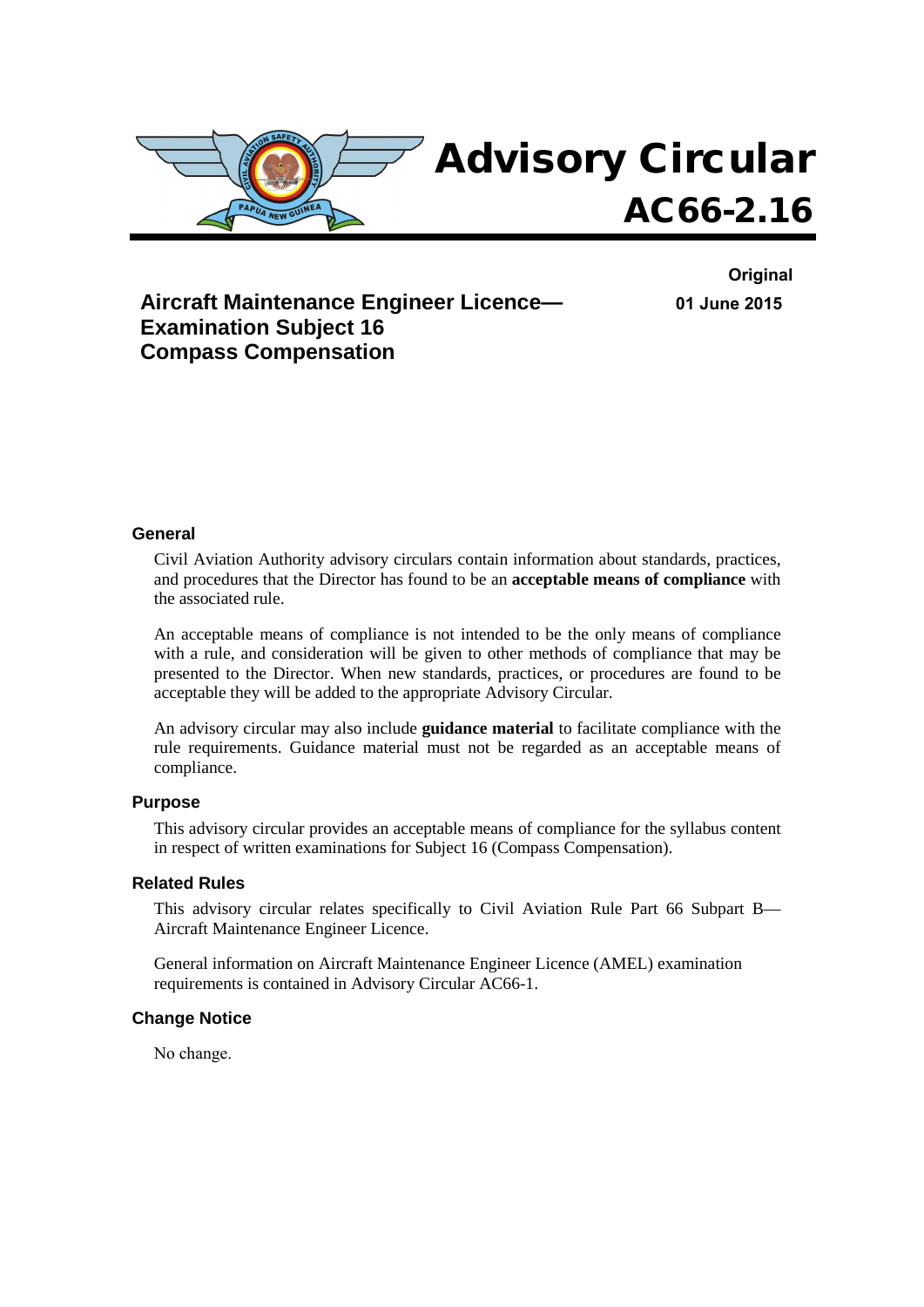

**Aircraft Maintenance Engineer Licence— Examination Subject 16 Compass Compensation**

**Original 01 June 2015**

#### **General**

Civil Aviation Authority advisory circulars contain information about standards, practices, and procedures that the Director has found to be an **acceptable means of compliance** with the associated rule.

An acceptable means of compliance is not intended to be the only means of compliance with a rule, and consideration will be given to other methods of compliance that may be presented to the Director. When new standards, practices, or procedures are found to be acceptable they will be added to the appropriate Advisory Circular.

An advisory circular may also include **guidance material** to facilitate compliance with the rule requirements. Guidance material must not be regarded as an acceptable means of compliance.

#### **Purpose**

This advisory circular provides an acceptable means of compliance for the syllabus content in respect of written examinations for Subject 16 (Compass Compensation).

#### **Related Rules**

This advisory circular relates specifically to Civil Aviation Rule Part 66 Subpart B— Aircraft Maintenance Engineer Licence.

General information on Aircraft Maintenance Engineer Licence (AMEL) examination requirements is contained in Advisory Circular AC66-1.

#### **Change Notice**

No change.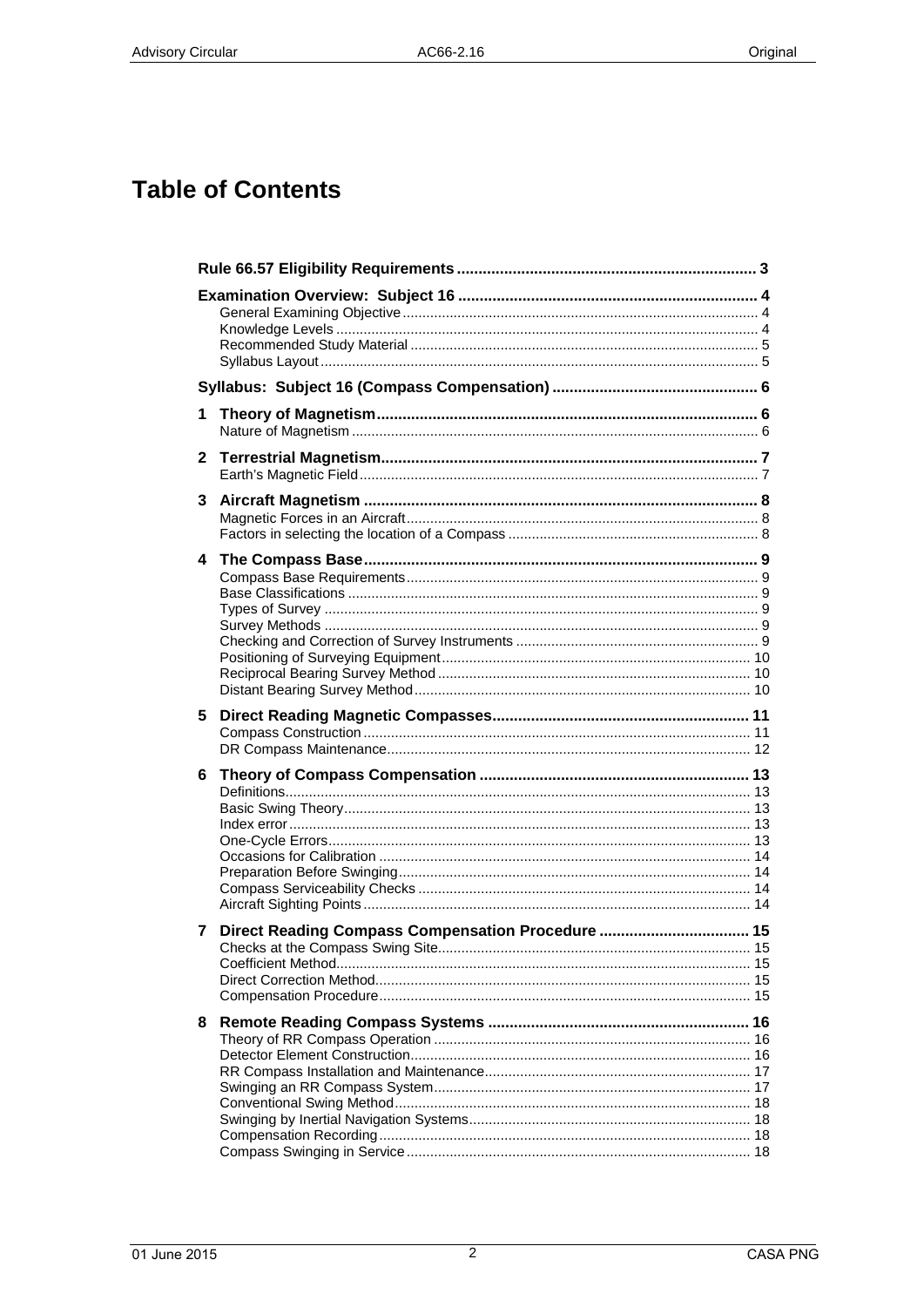# **Table of Contents**

| 1              |                                                   |  |
|----------------|---------------------------------------------------|--|
| $\mathbf{2}$   |                                                   |  |
| 3 <sup>1</sup> |                                                   |  |
|                |                                                   |  |
| 5.             |                                                   |  |
| 6.             |                                                   |  |
| 7              | Direct Reading Compass Compensation Procedure  15 |  |
| 8              |                                                   |  |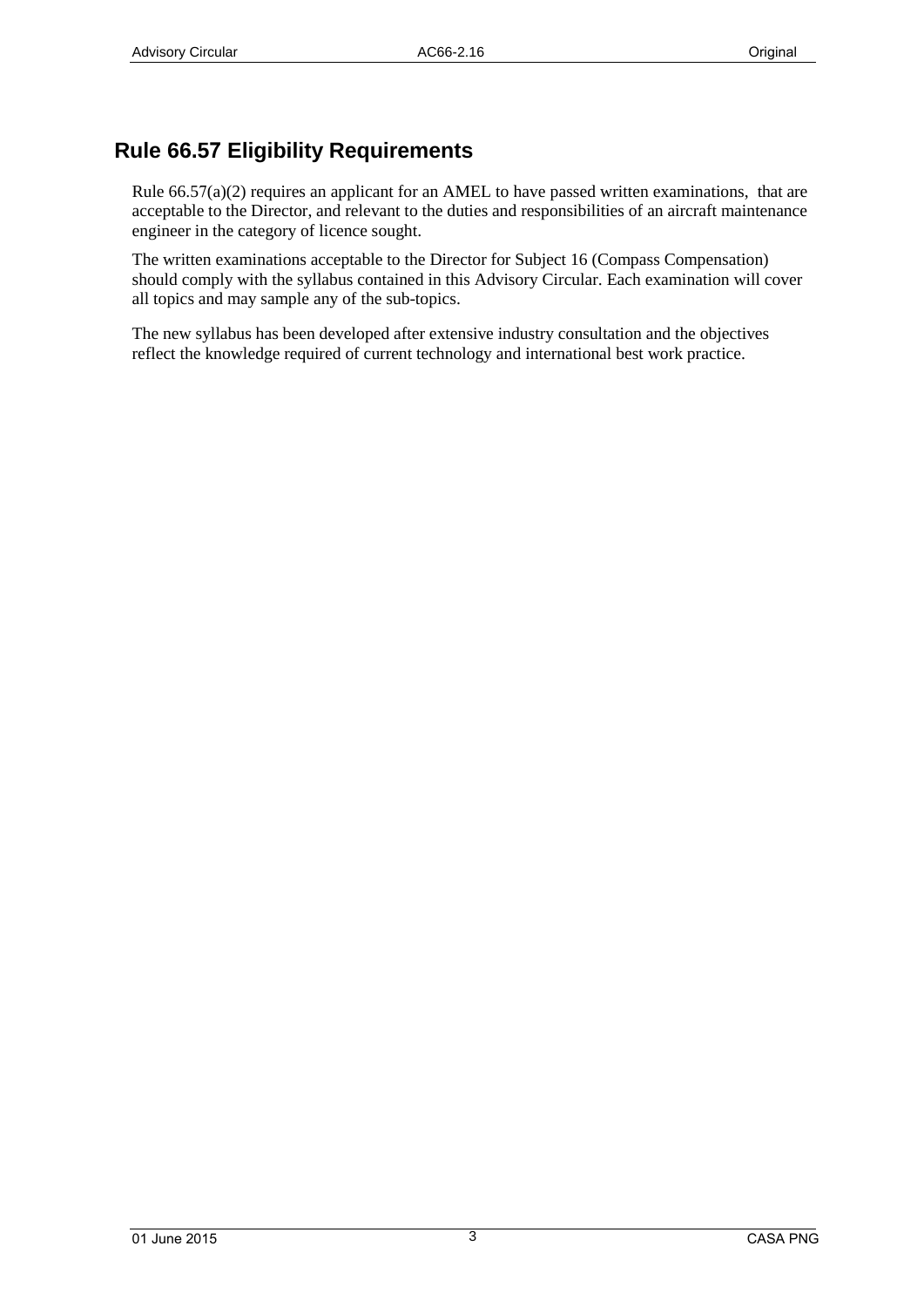## <span id="page-2-0"></span>**Rule 66.57 Eligibility Requirements**

Rule  $66.57(a)(2)$  requires an applicant for an AMEL to have passed written examinations, that are acceptable to the Director, and relevant to the duties and responsibilities of an aircraft maintenance engineer in the category of licence sought.

The written examinations acceptable to the Director for Subject 16 (Compass Compensation) should comply with the syllabus contained in this Advisory Circular. Each examination will cover all topics and may sample any of the sub-topics.

The new syllabus has been developed after extensive industry consultation and the objectives reflect the knowledge required of current technology and international best work practice.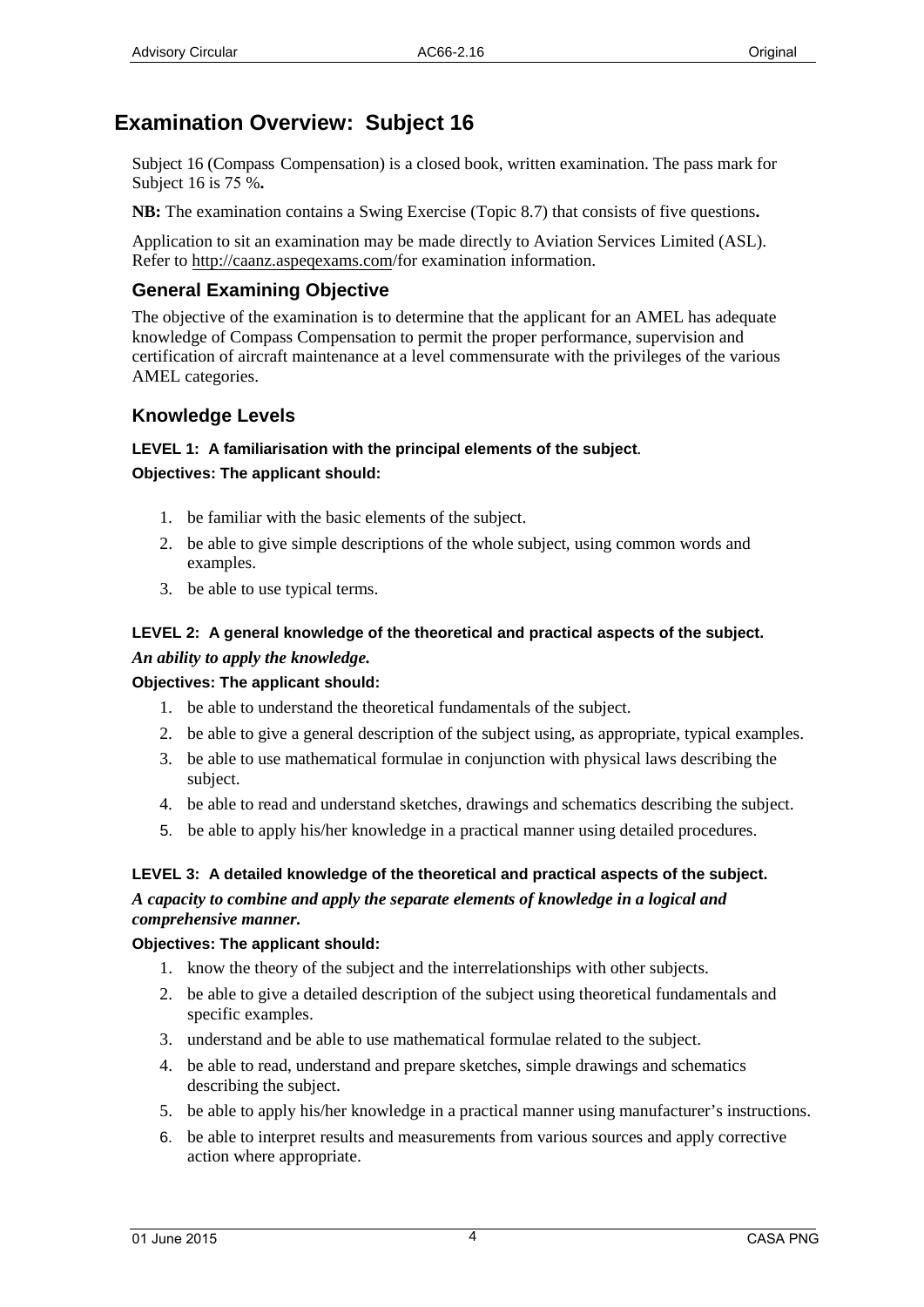## <span id="page-3-0"></span>**Examination Overview: Subject 16**

Subject 16 (Compass Compensation) is a closed book, written examination. The pass mark for Subject 16 is 75 %**.** 

**NB:** The examination contains a Swing Exercise (Topic 8.7) that consists of five questions**.**

Application to sit an examination may be made directly to Aviation Services Limited (ASL). Refer to http://caanz.aspeqexams.com/for examination information.

### **General Examining Objective**

<span id="page-3-1"></span>The objective of the examination is to determine that the applicant for an AMEL has adequate knowledge of Compass Compensation to permit the proper performance, supervision and certification of aircraft maintenance at a level commensurate with the privileges of the various AMEL categories.

#### **Knowledge Levels**

### <span id="page-3-2"></span>**LEVEL 1: A familiarisation with the principal elements of the subject***.* **Objectives: The applicant should:**

- 1. be familiar with the basic elements of the subject.
- 2. be able to give simple descriptions of the whole subject, using common words and examples.
- 3. be able to use typical terms.

### **LEVEL 2: A general knowledge of the theoretical and practical aspects of the subject.** *An ability to apply the knowledge.*

#### **Objectives: The applicant should:**

- 1. be able to understand the theoretical fundamentals of the subject.
- 2. be able to give a general description of the subject using, as appropriate, typical examples.
- 3. be able to use mathematical formulae in conjunction with physical laws describing the subject.
- 4. be able to read and understand sketches, drawings and schematics describing the subject.
- 5. be able to apply his/her knowledge in a practical manner using detailed procedures.

### **LEVEL 3: A detailed knowledge of the theoretical and practical aspects of the subject.**

#### *A capacity to combine and apply the separate elements of knowledge in a logical and comprehensive manner.*

#### **Objectives: The applicant should:**

- 1. know the theory of the subject and the interrelationships with other subjects.
- 2. be able to give a detailed description of the subject using theoretical fundamentals and specific examples.
- 3. understand and be able to use mathematical formulae related to the subject.
- 4. be able to read, understand and prepare sketches, simple drawings and schematics describing the subject.
- 5. be able to apply his/her knowledge in a practical manner using manufacturer's instructions.
- 6. be able to interpret results and measurements from various sources and apply corrective action where appropriate.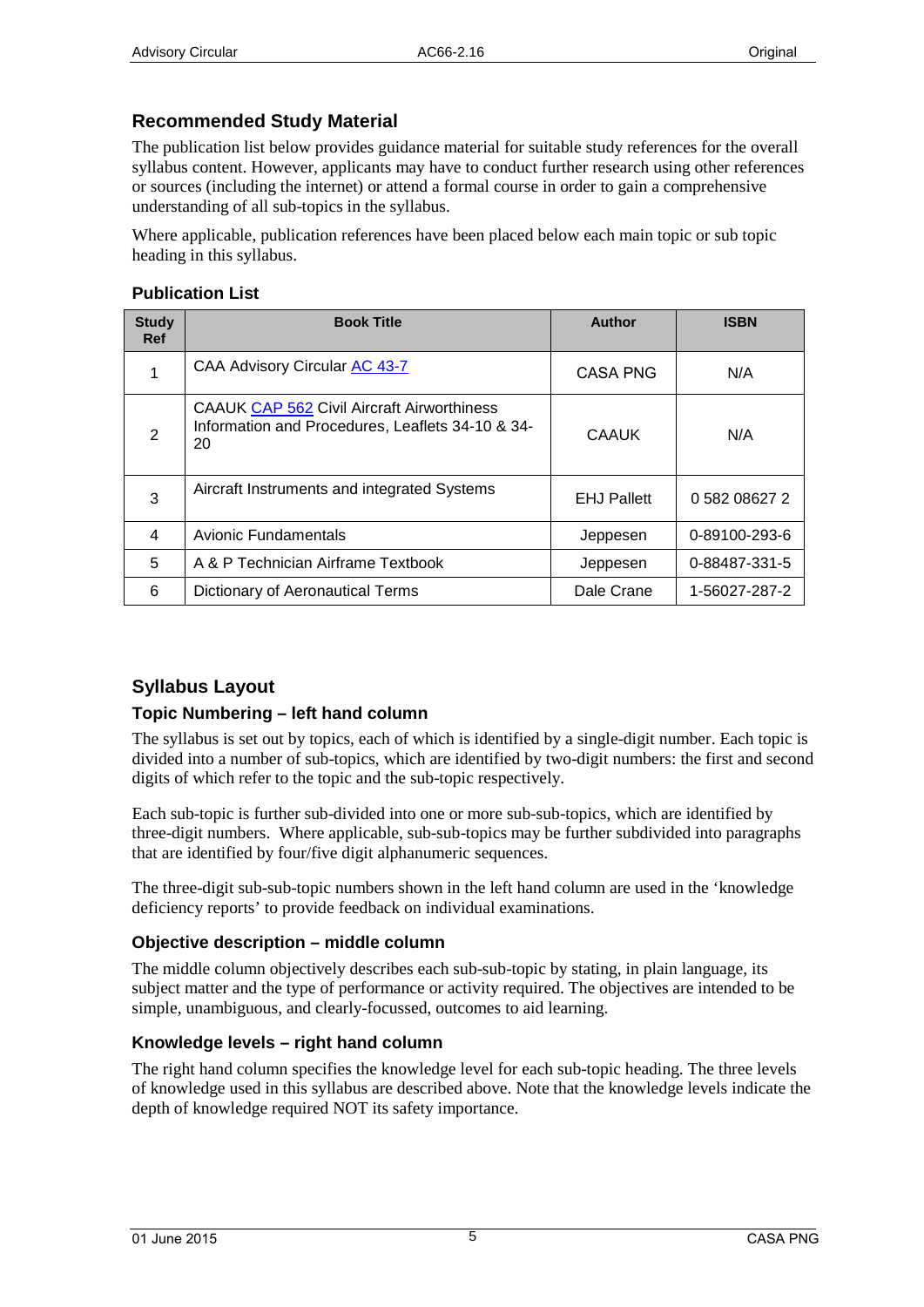### <span id="page-4-0"></span>**Recommended Study Material**

The publication list below provides guidance material for suitable study references for the overall syllabus content. However, applicants may have to conduct further research using other references or sources (including the internet) or attend a formal course in order to gain a comprehensive understanding of all sub-topics in the syllabus.

Where applicable, publication references have been placed below each main topic or sub topic heading in this syllabus.

#### **Publication List**

| <b>Study</b><br><b>Ref</b> | <b>Book Title</b>                                                                                           | <b>Author</b>      | <b>ISBN</b>   |
|----------------------------|-------------------------------------------------------------------------------------------------------------|--------------------|---------------|
| 1                          | CAA Advisory Circular AC 43-7                                                                               | <b>CASA PNG</b>    | N/A           |
| $\overline{2}$             | <b>CAAUK CAP 562 Civil Aircraft Airworthiness</b><br>Information and Procedures, Leaflets 34-10 & 34-<br>20 | CAAUK              | N/A           |
| 3                          | Aircraft Instruments and integrated Systems                                                                 | <b>EHJ Pallett</b> | 0 582 08627 2 |
| $\overline{4}$             | <b>Avionic Fundamentals</b>                                                                                 | Jeppesen           | 0-89100-293-6 |
| 5                          | A & P Technician Airframe Textbook                                                                          | Jeppesen           | 0-88487-331-5 |
| 6                          | Dictionary of Aeronautical Terms                                                                            | Dale Crane         | 1-56027-287-2 |

### <span id="page-4-1"></span>**Syllabus Layout**

### **Topic Numbering – left hand column**

The syllabus is set out by topics, each of which is identified by a single-digit number. Each topic is divided into a number of sub-topics, which are identified by two-digit numbers: the first and second digits of which refer to the topic and the sub-topic respectively.

Each sub-topic is further sub-divided into one or more sub-sub-topics, which are identified by three-digit numbers. Where applicable, sub-sub-topics may be further subdivided into paragraphs that are identified by four/five digit alphanumeric sequences.

The three-digit sub-sub-topic numbers shown in the left hand column are used in the 'knowledge deficiency reports' to provide feedback on individual examinations.

#### **Objective description – middle column**

The middle column objectively describes each sub-sub-topic by stating, in plain language, its subject matter and the type of performance or activity required. The objectives are intended to be simple, unambiguous, and clearly-focussed, outcomes to aid learning.

#### **Knowledge levels – right hand column**

The right hand column specifies the knowledge level for each sub-topic heading. The three levels of knowledge used in this syllabus are described above. Note that the knowledge levels indicate the depth of knowledge required NOT its safety importance.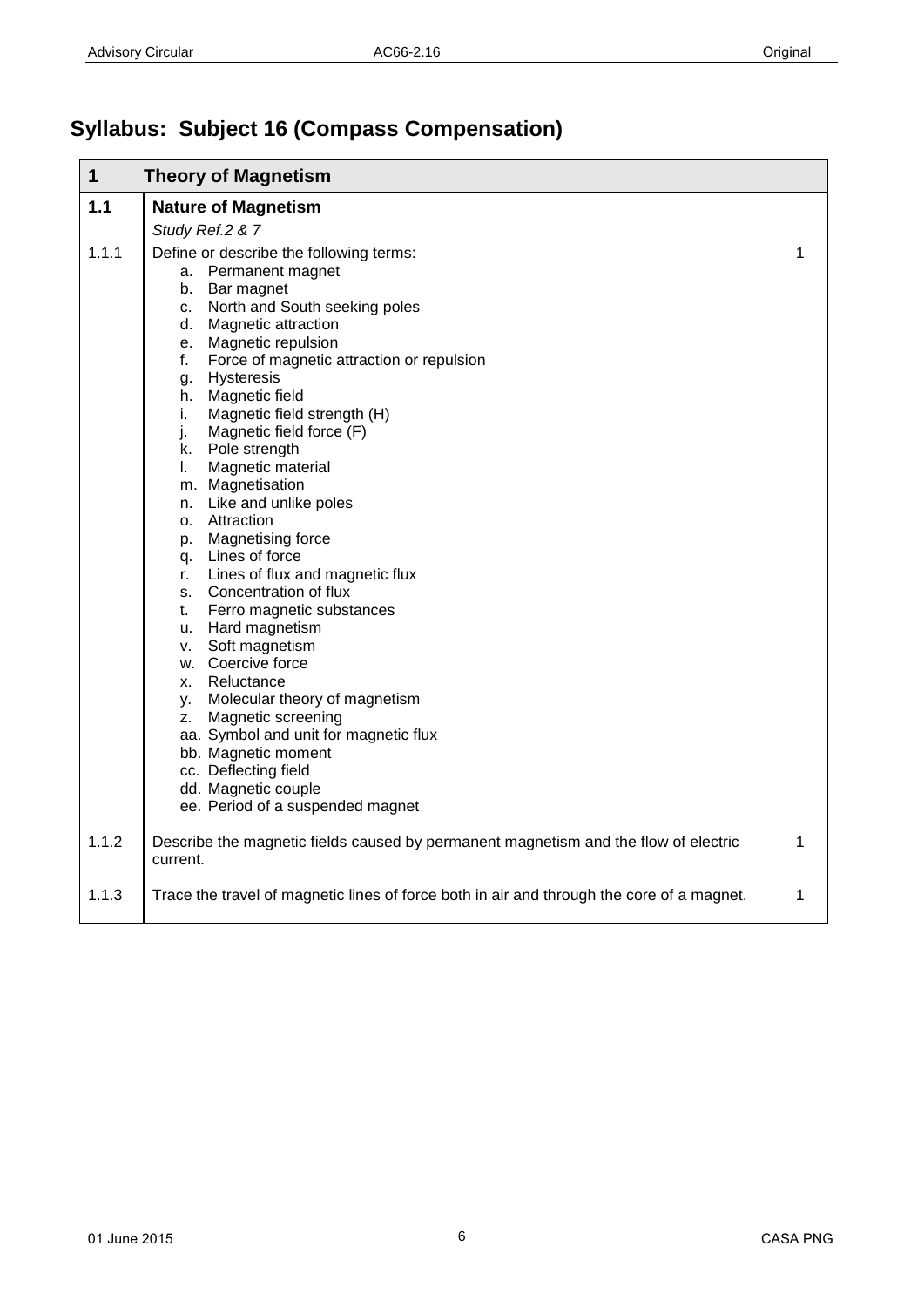# <span id="page-5-0"></span>**Syllabus: Subject 16 (Compass Compensation)**

<span id="page-5-2"></span><span id="page-5-1"></span>

| $\mathbf{1}$ | <b>Theory of Magnetism</b>                                                                                                                                                                                                                                                                                                                                                                                                                                                                                                                                                                                                                                                                                                                                                                                            |   |
|--------------|-----------------------------------------------------------------------------------------------------------------------------------------------------------------------------------------------------------------------------------------------------------------------------------------------------------------------------------------------------------------------------------------------------------------------------------------------------------------------------------------------------------------------------------------------------------------------------------------------------------------------------------------------------------------------------------------------------------------------------------------------------------------------------------------------------------------------|---|
| 1.1          | <b>Nature of Magnetism</b>                                                                                                                                                                                                                                                                                                                                                                                                                                                                                                                                                                                                                                                                                                                                                                                            |   |
|              | Study Ref.2 & 7                                                                                                                                                                                                                                                                                                                                                                                                                                                                                                                                                                                                                                                                                                                                                                                                       |   |
| 1.1.1        | Define or describe the following terms:<br>a. Permanent magnet<br>b. Bar magnet<br>c. North and South seeking poles<br>d. Magnetic attraction<br>e. Magnetic repulsion<br>f. Force of magnetic attraction or repulsion<br>Hysteresis<br>g.<br>h. Magnetic field<br>Magnetic field strength (H)<br>i.<br>j.<br>Magnetic field force (F)<br>k. Pole strength<br>Magnetic material<br>I.<br>m. Magnetisation<br>n. Like and unlike poles<br>o. Attraction<br>p. Magnetising force<br>q. Lines of force<br>r. Lines of flux and magnetic flux<br>s. Concentration of flux<br>Ferro magnetic substances<br>t.<br>u. Hard magnetism<br>v. Soft magnetism<br>w. Coercive force<br>x. Reluctance<br>y. Molecular theory of magnetism<br>z. Magnetic screening<br>aa. Symbol and unit for magnetic flux<br>bb. Magnetic moment | 1 |
|              | cc. Deflecting field<br>dd. Magnetic couple                                                                                                                                                                                                                                                                                                                                                                                                                                                                                                                                                                                                                                                                                                                                                                           |   |
|              | ee. Period of a suspended magnet                                                                                                                                                                                                                                                                                                                                                                                                                                                                                                                                                                                                                                                                                                                                                                                      |   |
| 1.1.2        | Describe the magnetic fields caused by permanent magnetism and the flow of electric<br>current.                                                                                                                                                                                                                                                                                                                                                                                                                                                                                                                                                                                                                                                                                                                       | 1 |
| 1.1.3        | Trace the travel of magnetic lines of force both in air and through the core of a magnet.                                                                                                                                                                                                                                                                                                                                                                                                                                                                                                                                                                                                                                                                                                                             | 1 |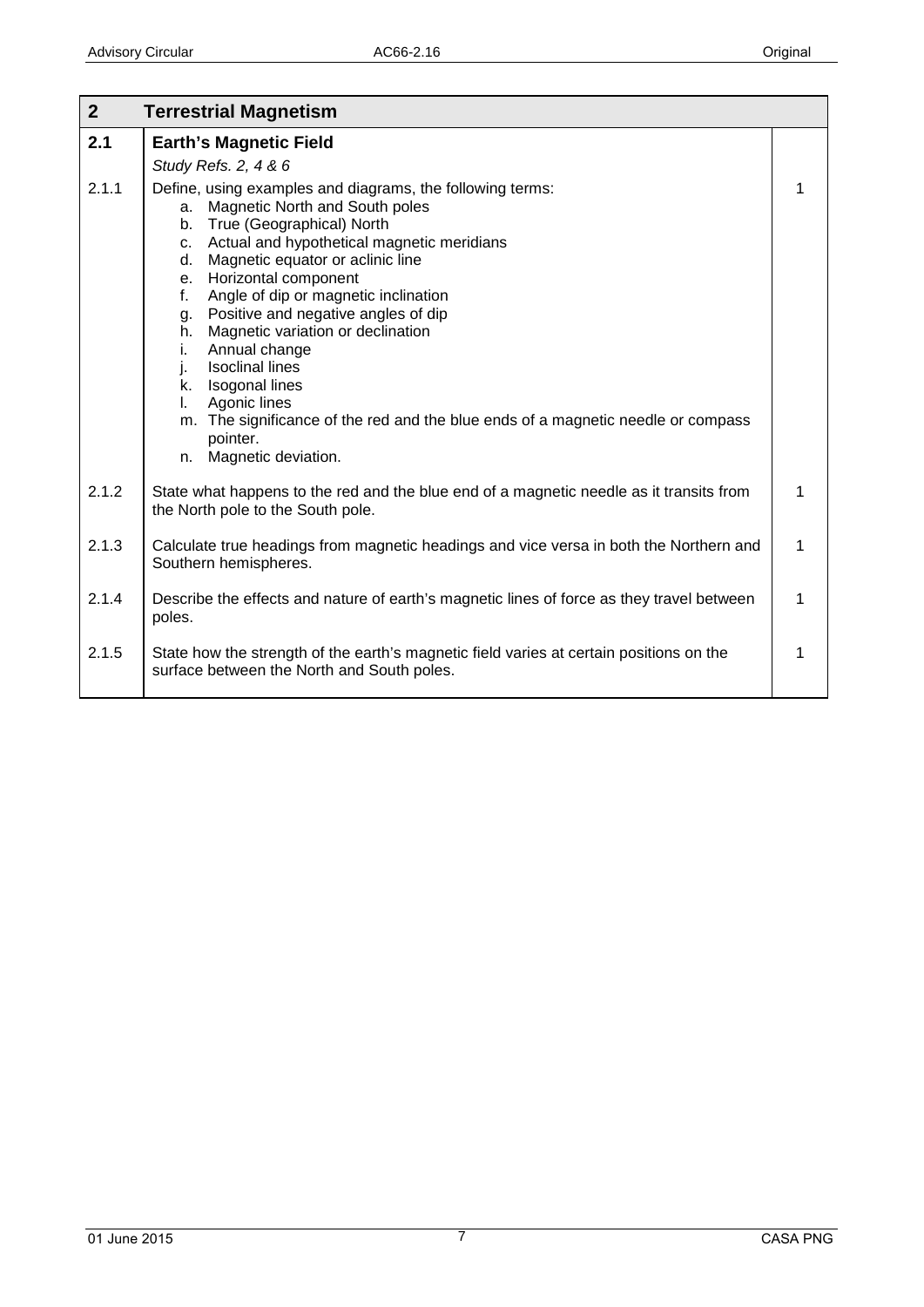<span id="page-6-1"></span><span id="page-6-0"></span>

| 2 <sup>2</sup> | <b>Terrestrial Magnetism</b>                                                                                                                                                                                                                                                                                                                                                                                                                                                                                                                                                                                                    |   |
|----------------|---------------------------------------------------------------------------------------------------------------------------------------------------------------------------------------------------------------------------------------------------------------------------------------------------------------------------------------------------------------------------------------------------------------------------------------------------------------------------------------------------------------------------------------------------------------------------------------------------------------------------------|---|
| 2.1            | <b>Earth's Magnetic Field</b><br>Study Refs. 2, 4 & 6                                                                                                                                                                                                                                                                                                                                                                                                                                                                                                                                                                           |   |
| 2.1.1          | Define, using examples and diagrams, the following terms:<br>Magnetic North and South poles<br>а.<br>True (Geographical) North<br>b.<br>c. Actual and hypothetical magnetic meridians<br>Magnetic equator or aclinic line<br>d.<br>Horizontal component<br>e.<br>Angle of dip or magnetic inclination<br>f.<br>g. Positive and negative angles of dip<br>Magnetic variation or declination<br>h.<br>Annual change<br>i.<br><b>Isoclinal lines</b><br>j.<br>k. Isogonal lines<br>Agonic lines<br>I.<br>m. The significance of the red and the blue ends of a magnetic needle or compass<br>pointer.<br>Magnetic deviation.<br>n. | 1 |
| 2.1.2          | State what happens to the red and the blue end of a magnetic needle as it transits from<br>the North pole to the South pole.                                                                                                                                                                                                                                                                                                                                                                                                                                                                                                    | 1 |
| 2.1.3          | Calculate true headings from magnetic headings and vice versa in both the Northern and<br>Southern hemispheres.                                                                                                                                                                                                                                                                                                                                                                                                                                                                                                                 | 1 |
| 2.1.4          | Describe the effects and nature of earth's magnetic lines of force as they travel between<br>poles.                                                                                                                                                                                                                                                                                                                                                                                                                                                                                                                             | 1 |
| 2.1.5          | State how the strength of the earth's magnetic field varies at certain positions on the<br>surface between the North and South poles.                                                                                                                                                                                                                                                                                                                                                                                                                                                                                           | 1 |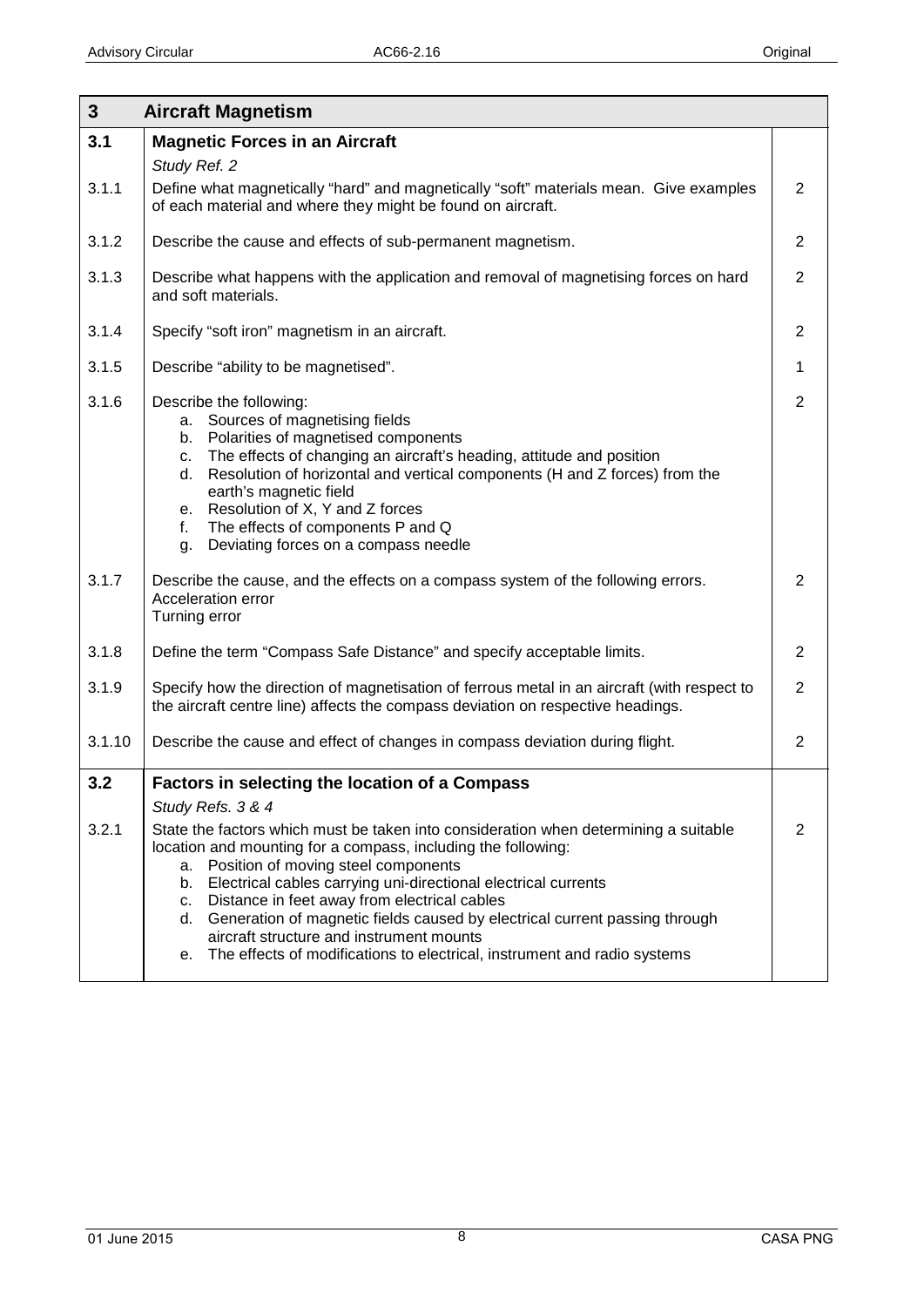<span id="page-7-2"></span><span id="page-7-1"></span><span id="page-7-0"></span>

| $\mathbf{3}$ | <b>Aircraft Magnetism</b>                                                                                                                                                                                                                                                                                                                                                                                                                                                                                                                                         |                |
|--------------|-------------------------------------------------------------------------------------------------------------------------------------------------------------------------------------------------------------------------------------------------------------------------------------------------------------------------------------------------------------------------------------------------------------------------------------------------------------------------------------------------------------------------------------------------------------------|----------------|
| 3.1          | <b>Magnetic Forces in an Aircraft</b>                                                                                                                                                                                                                                                                                                                                                                                                                                                                                                                             |                |
| 3.1.1        | Study Ref. 2<br>Define what magnetically "hard" and magnetically "soft" materials mean. Give examples<br>of each material and where they might be found on aircraft.                                                                                                                                                                                                                                                                                                                                                                                              | 2              |
| 3.1.2        | Describe the cause and effects of sub-permanent magnetism.                                                                                                                                                                                                                                                                                                                                                                                                                                                                                                        | 2              |
| 3.1.3        | Describe what happens with the application and removal of magnetising forces on hard<br>and soft materials.                                                                                                                                                                                                                                                                                                                                                                                                                                                       | 2              |
| 3.1.4        | Specify "soft iron" magnetism in an aircraft.                                                                                                                                                                                                                                                                                                                                                                                                                                                                                                                     | 2              |
| 3.1.5        | Describe "ability to be magnetised".                                                                                                                                                                                                                                                                                                                                                                                                                                                                                                                              | 1              |
| 3.1.6        | Describe the following:<br>Sources of magnetising fields<br>а.<br>b. Polarities of magnetised components<br>The effects of changing an aircraft's heading, attitude and position<br>C.<br>Resolution of horizontal and vertical components (H and Z forces) from the<br>d.<br>earth's magnetic field<br>e. Resolution of X, Y and Z forces<br>The effects of components P and Q<br>f.<br>Deviating forces on a compass needle<br>g.                                                                                                                               | 2              |
| 3.1.7        | Describe the cause, and the effects on a compass system of the following errors.<br>Acceleration error<br>Turning error                                                                                                                                                                                                                                                                                                                                                                                                                                           | $\overline{2}$ |
| 3.1.8        | Define the term "Compass Safe Distance" and specify acceptable limits.                                                                                                                                                                                                                                                                                                                                                                                                                                                                                            | 2              |
| 3.1.9        | Specify how the direction of magnetisation of ferrous metal in an aircraft (with respect to<br>the aircraft centre line) affects the compass deviation on respective headings.                                                                                                                                                                                                                                                                                                                                                                                    | $\overline{2}$ |
| 3.1.10       | Describe the cause and effect of changes in compass deviation during flight.                                                                                                                                                                                                                                                                                                                                                                                                                                                                                      | 2              |
| 3.2          | <b>Factors in selecting the location of a Compass</b>                                                                                                                                                                                                                                                                                                                                                                                                                                                                                                             |                |
| 3.2.1        | Study Refs. 3 & 4<br>State the factors which must be taken into consideration when determining a suitable<br>location and mounting for a compass, including the following:<br>Position of moving steel components<br>а.<br>Electrical cables carrying uni-directional electrical currents<br>b.<br>c. Distance in feet away from electrical cables<br>d. Generation of magnetic fields caused by electrical current passing through<br>aircraft structure and instrument mounts<br>The effects of modifications to electrical, instrument and radio systems<br>е. | $\overline{2}$ |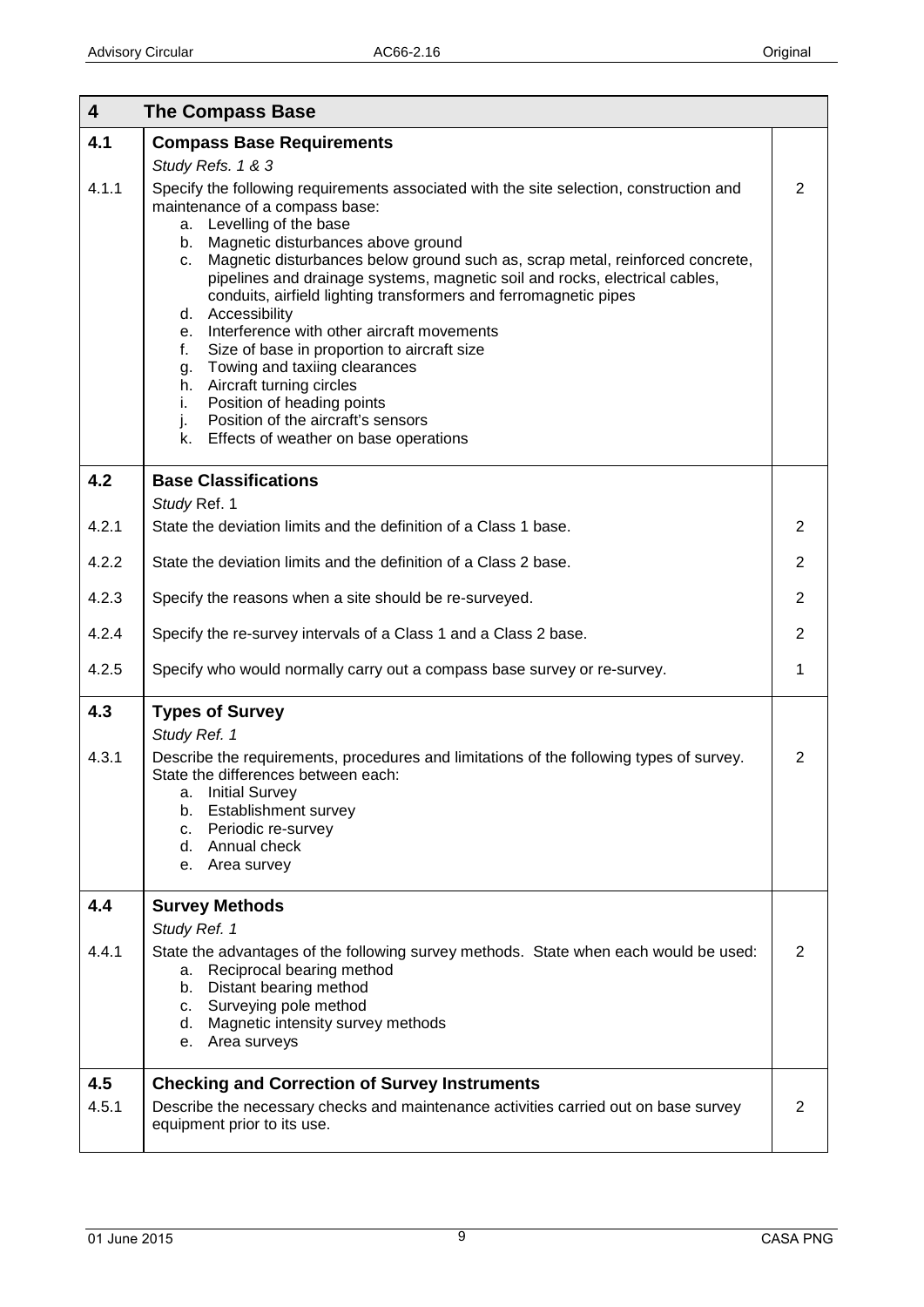<span id="page-8-5"></span><span id="page-8-4"></span><span id="page-8-3"></span><span id="page-8-2"></span><span id="page-8-1"></span><span id="page-8-0"></span>

| $\overline{\mathbf{4}}$ | <b>The Compass Base</b>                                                                                                                                                                                                                                                                                                                                                                                                                                                                                                                                                                                                                                                                                                                                                 |                |
|-------------------------|-------------------------------------------------------------------------------------------------------------------------------------------------------------------------------------------------------------------------------------------------------------------------------------------------------------------------------------------------------------------------------------------------------------------------------------------------------------------------------------------------------------------------------------------------------------------------------------------------------------------------------------------------------------------------------------------------------------------------------------------------------------------------|----------------|
| 4.1                     | <b>Compass Base Requirements</b>                                                                                                                                                                                                                                                                                                                                                                                                                                                                                                                                                                                                                                                                                                                                        |                |
|                         | Study Refs. 1 & 3                                                                                                                                                                                                                                                                                                                                                                                                                                                                                                                                                                                                                                                                                                                                                       |                |
| 4.1.1                   | Specify the following requirements associated with the site selection, construction and<br>maintenance of a compass base:<br>a. Levelling of the base<br>b. Magnetic disturbances above ground<br>Magnetic disturbances below ground such as, scrap metal, reinforced concrete,<br>C.<br>pipelines and drainage systems, magnetic soil and rocks, electrical cables,<br>conduits, airfield lighting transformers and ferromagnetic pipes<br>d. Accessibility<br>Interference with other aircraft movements<br>е.<br>Size of base in proportion to aircraft size<br>f.<br>Towing and taxiing clearances<br>g.<br>h. Aircraft turning circles<br>Position of heading points<br>i.<br>Position of the aircraft's sensors<br>j.<br>k. Effects of weather on base operations | $\overline{2}$ |
| 4.2                     | <b>Base Classifications</b><br>Study Ref. 1                                                                                                                                                                                                                                                                                                                                                                                                                                                                                                                                                                                                                                                                                                                             |                |
| 4.2.1                   | State the deviation limits and the definition of a Class 1 base.                                                                                                                                                                                                                                                                                                                                                                                                                                                                                                                                                                                                                                                                                                        | $\overline{2}$ |
| 4.2.2                   | State the deviation limits and the definition of a Class 2 base.                                                                                                                                                                                                                                                                                                                                                                                                                                                                                                                                                                                                                                                                                                        | $\overline{2}$ |
| 4.2.3                   | Specify the reasons when a site should be re-surveyed.                                                                                                                                                                                                                                                                                                                                                                                                                                                                                                                                                                                                                                                                                                                  | $\overline{2}$ |
| 4.2.4                   | Specify the re-survey intervals of a Class 1 and a Class 2 base.                                                                                                                                                                                                                                                                                                                                                                                                                                                                                                                                                                                                                                                                                                        | $\overline{2}$ |
| 4.2.5                   | Specify who would normally carry out a compass base survey or re-survey.                                                                                                                                                                                                                                                                                                                                                                                                                                                                                                                                                                                                                                                                                                | 1              |
| 4.3                     | <b>Types of Survey</b>                                                                                                                                                                                                                                                                                                                                                                                                                                                                                                                                                                                                                                                                                                                                                  |                |
| 4.3.1                   | Study Ref. 1<br>Describe the requirements, procedures and limitations of the following types of survey.<br>State the differences between each:<br>a. Initial Survey<br>Establishment survey<br>b.<br>Periodic re-survey<br>C.<br>d. Annual check<br>e. Area survey                                                                                                                                                                                                                                                                                                                                                                                                                                                                                                      | $\overline{2}$ |
| 4.4                     | <b>Survey Methods</b>                                                                                                                                                                                                                                                                                                                                                                                                                                                                                                                                                                                                                                                                                                                                                   |                |
|                         | Study Ref. 1                                                                                                                                                                                                                                                                                                                                                                                                                                                                                                                                                                                                                                                                                                                                                            |                |
| 4.4.1                   | State the advantages of the following survey methods. State when each would be used:<br>Reciprocal bearing method<br>а.<br>Distant bearing method<br>b.<br>Surveying pole method<br>C.<br>d. Magnetic intensity survey methods<br>e. Area surveys                                                                                                                                                                                                                                                                                                                                                                                                                                                                                                                       | $\overline{2}$ |
| 4.5<br>4.5.1            | <b>Checking and Correction of Survey Instruments</b><br>Describe the necessary checks and maintenance activities carried out on base survey<br>equipment prior to its use.                                                                                                                                                                                                                                                                                                                                                                                                                                                                                                                                                                                              | $\overline{2}$ |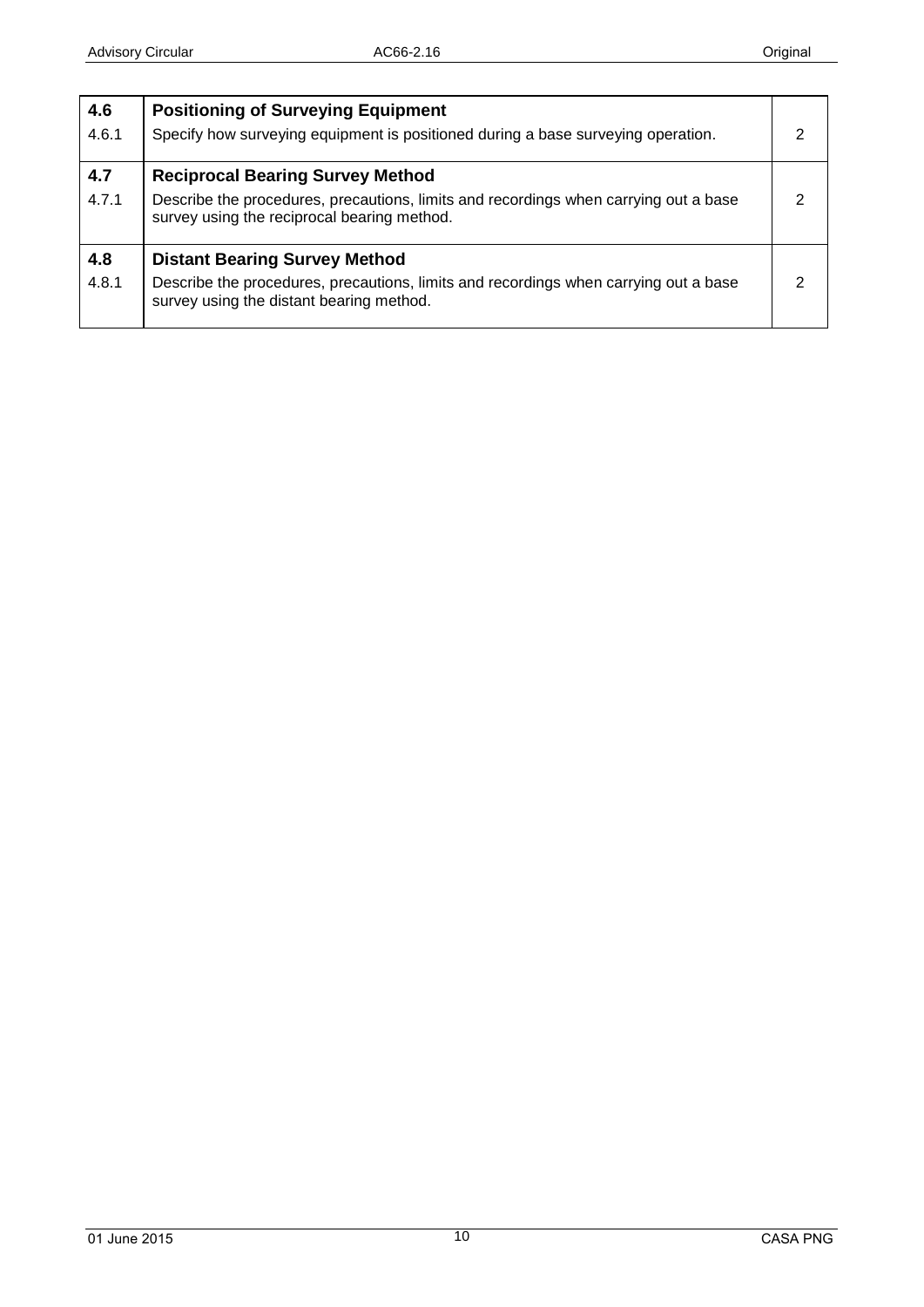<span id="page-9-2"></span><span id="page-9-1"></span><span id="page-9-0"></span>

| 4.6<br>4.6.1 | <b>Positioning of Surveying Equipment</b><br>Specify how surveying equipment is positioned during a base surveying operation.                                                  |  |
|--------------|--------------------------------------------------------------------------------------------------------------------------------------------------------------------------------|--|
| 4.7<br>4.7.1 | <b>Reciprocal Bearing Survey Method</b><br>Describe the procedures, precautions, limits and recordings when carrying out a base<br>survey using the reciprocal bearing method. |  |
| 4.8<br>4.8.1 | <b>Distant Bearing Survey Method</b><br>Describe the procedures, precautions, limits and recordings when carrying out a base<br>survey using the distant bearing method.       |  |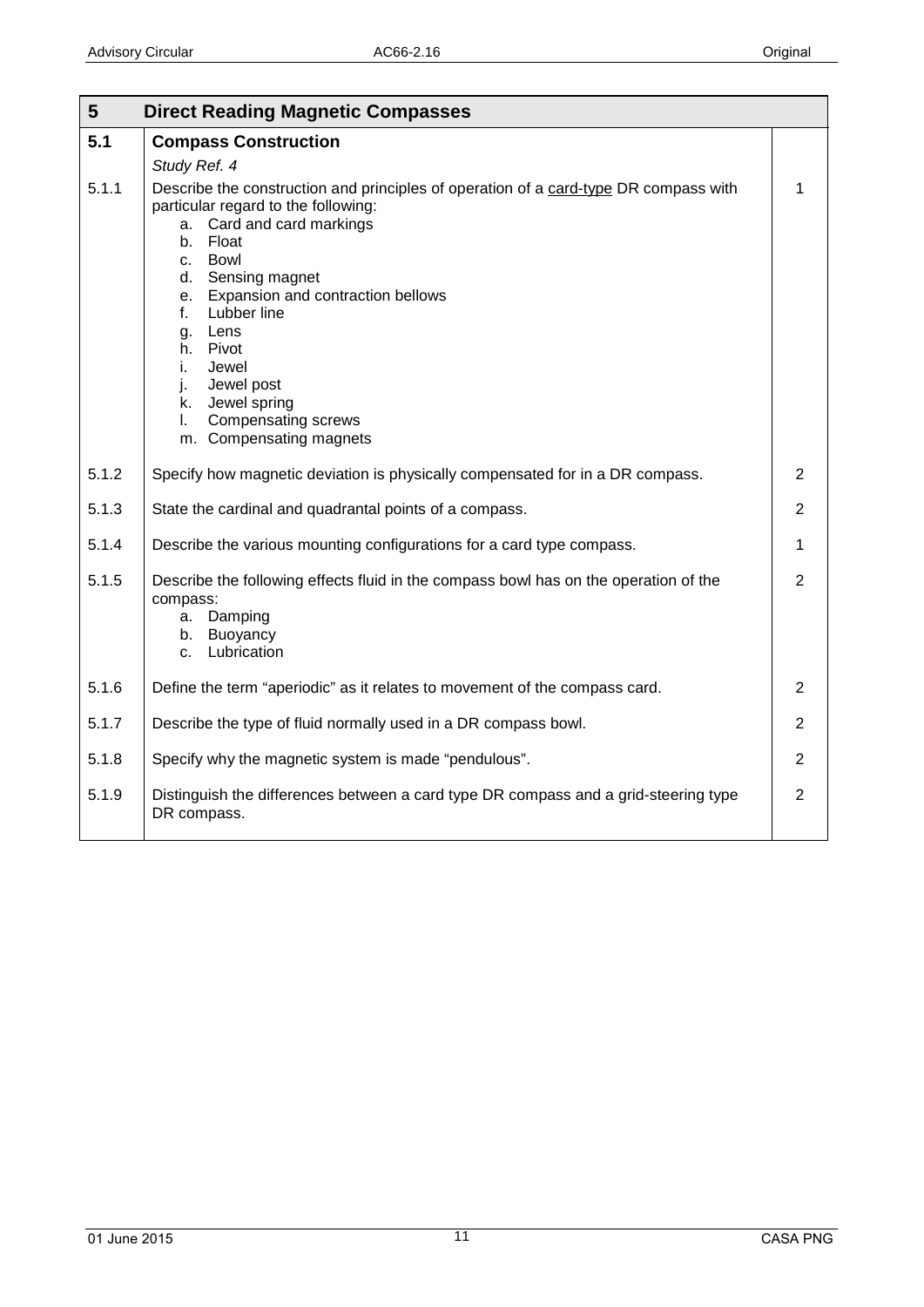<span id="page-10-1"></span><span id="page-10-0"></span>

| 5     | <b>Direct Reading Magnetic Compasses</b>                                                                                                                                                                                                                                                                                                                                                                     |                |
|-------|--------------------------------------------------------------------------------------------------------------------------------------------------------------------------------------------------------------------------------------------------------------------------------------------------------------------------------------------------------------------------------------------------------------|----------------|
| 5.1   | <b>Compass Construction</b>                                                                                                                                                                                                                                                                                                                                                                                  |                |
|       | Study Ref. 4                                                                                                                                                                                                                                                                                                                                                                                                 |                |
| 5.1.1 | Describe the construction and principles of operation of a card-type DR compass with<br>particular regard to the following:<br>a. Card and card markings<br>Float<br>b.<br>c. Bowl<br>d. Sensing magnet<br>Expansion and contraction bellows<br>e.<br>Lubber line<br>f.<br>g. Lens<br>h. Pivot<br>Jewel<br>i.<br>Jewel post<br>j.<br>k. Jewel spring<br>Compensating screws<br>L.<br>m. Compensating magnets | 1              |
| 5.1.2 | Specify how magnetic deviation is physically compensated for in a DR compass.                                                                                                                                                                                                                                                                                                                                | $\overline{2}$ |
| 5.1.3 | State the cardinal and quadrantal points of a compass.                                                                                                                                                                                                                                                                                                                                                       | $\overline{2}$ |
| 5.1.4 | Describe the various mounting configurations for a card type compass.                                                                                                                                                                                                                                                                                                                                        | 1              |
| 5.1.5 | Describe the following effects fluid in the compass bowl has on the operation of the<br>compass:<br>Damping<br>а.<br>b. Buoyancy<br>Lubrication<br>C <sub>1</sub>                                                                                                                                                                                                                                            | $\overline{2}$ |
| 5.1.6 | Define the term "aperiodic" as it relates to movement of the compass card.                                                                                                                                                                                                                                                                                                                                   | $\overline{2}$ |
| 5.1.7 | Describe the type of fluid normally used in a DR compass bowl.                                                                                                                                                                                                                                                                                                                                               | $\overline{2}$ |
| 5.1.8 | Specify why the magnetic system is made "pendulous".                                                                                                                                                                                                                                                                                                                                                         | $\overline{2}$ |
| 5.1.9 | Distinguish the differences between a card type DR compass and a grid-steering type<br>DR compass.                                                                                                                                                                                                                                                                                                           | $\overline{2}$ |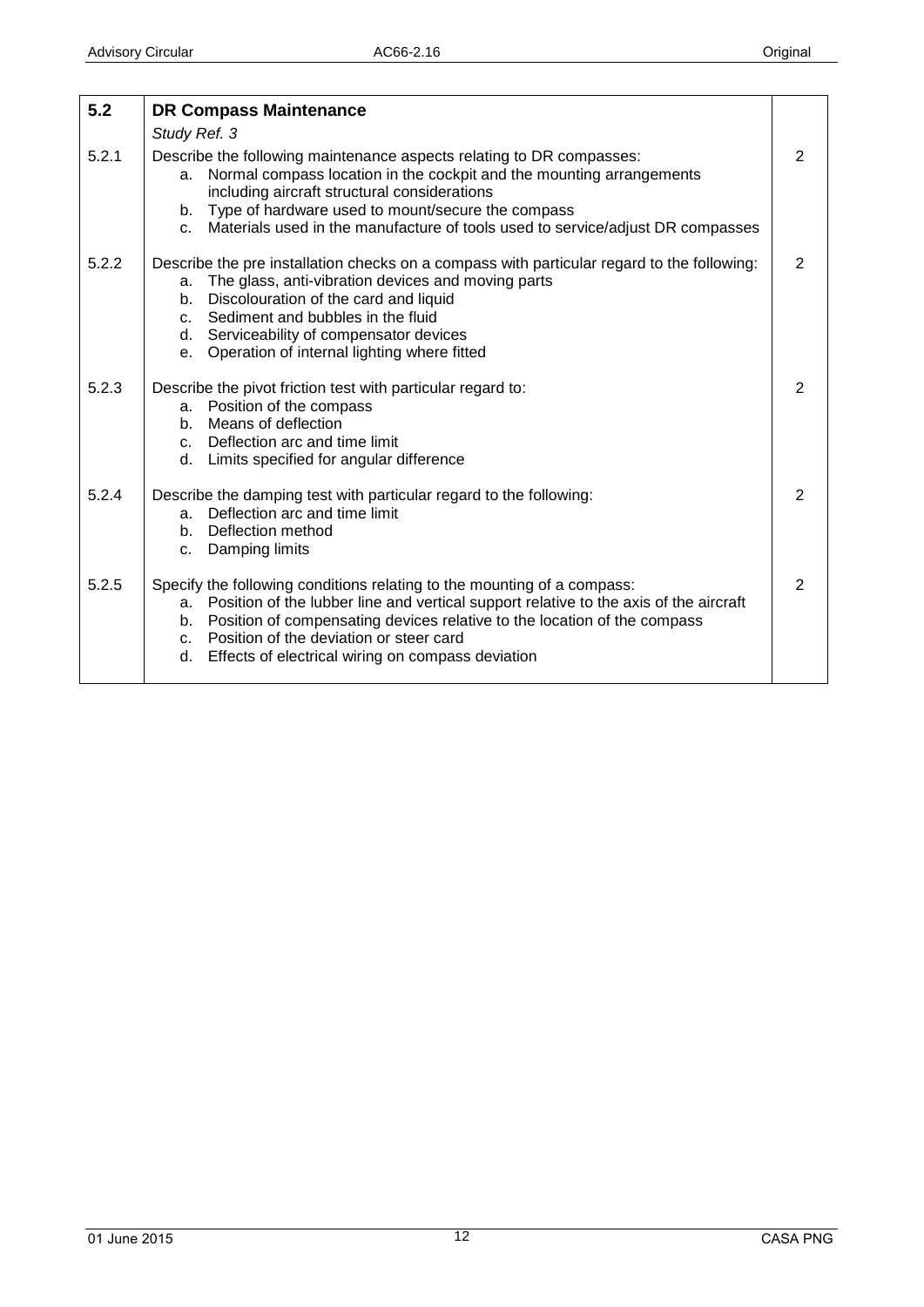<span id="page-11-0"></span>

| 5.2   | <b>DR Compass Maintenance</b>                                                                                                                                                                                                                                                                                                                               |   |
|-------|-------------------------------------------------------------------------------------------------------------------------------------------------------------------------------------------------------------------------------------------------------------------------------------------------------------------------------------------------------------|---|
|       | Study Ref. 3                                                                                                                                                                                                                                                                                                                                                |   |
| 5.2.1 | Describe the following maintenance aspects relating to DR compasses:<br>Normal compass location in the cockpit and the mounting arrangements<br>a.<br>including aircraft structural considerations<br>b. Type of hardware used to mount/secure the compass<br>Materials used in the manufacture of tools used to service/adjust DR compasses<br>$C_{n}$     | 2 |
| 5.2.2 | Describe the pre installation checks on a compass with particular regard to the following:<br>a. The glass, anti-vibration devices and moving parts<br>b. Discolouration of the card and liquid<br>c. Sediment and bubbles in the fluid<br>d. Serviceability of compensator devices<br>Operation of internal lighting where fitted<br>$e_{1}$               | 2 |
| 5.2.3 | Describe the pivot friction test with particular regard to:<br>a. Position of the compass<br>b. Means of deflection<br>c. Deflection arc and time limit<br>d. Limits specified for angular difference                                                                                                                                                       | 2 |
| 5.2.4 | Describe the damping test with particular regard to the following:<br>Deflection arc and time limit<br>a.<br>b. Deflection method<br>Damping limits<br>C.                                                                                                                                                                                                   | 2 |
| 5.2.5 | Specify the following conditions relating to the mounting of a compass:<br>a. Position of the lubber line and vertical support relative to the axis of the aircraft<br>b. Position of compensating devices relative to the location of the compass<br>c. Position of the deviation or steer card<br>Effects of electrical wiring on compass deviation<br>d. | 2 |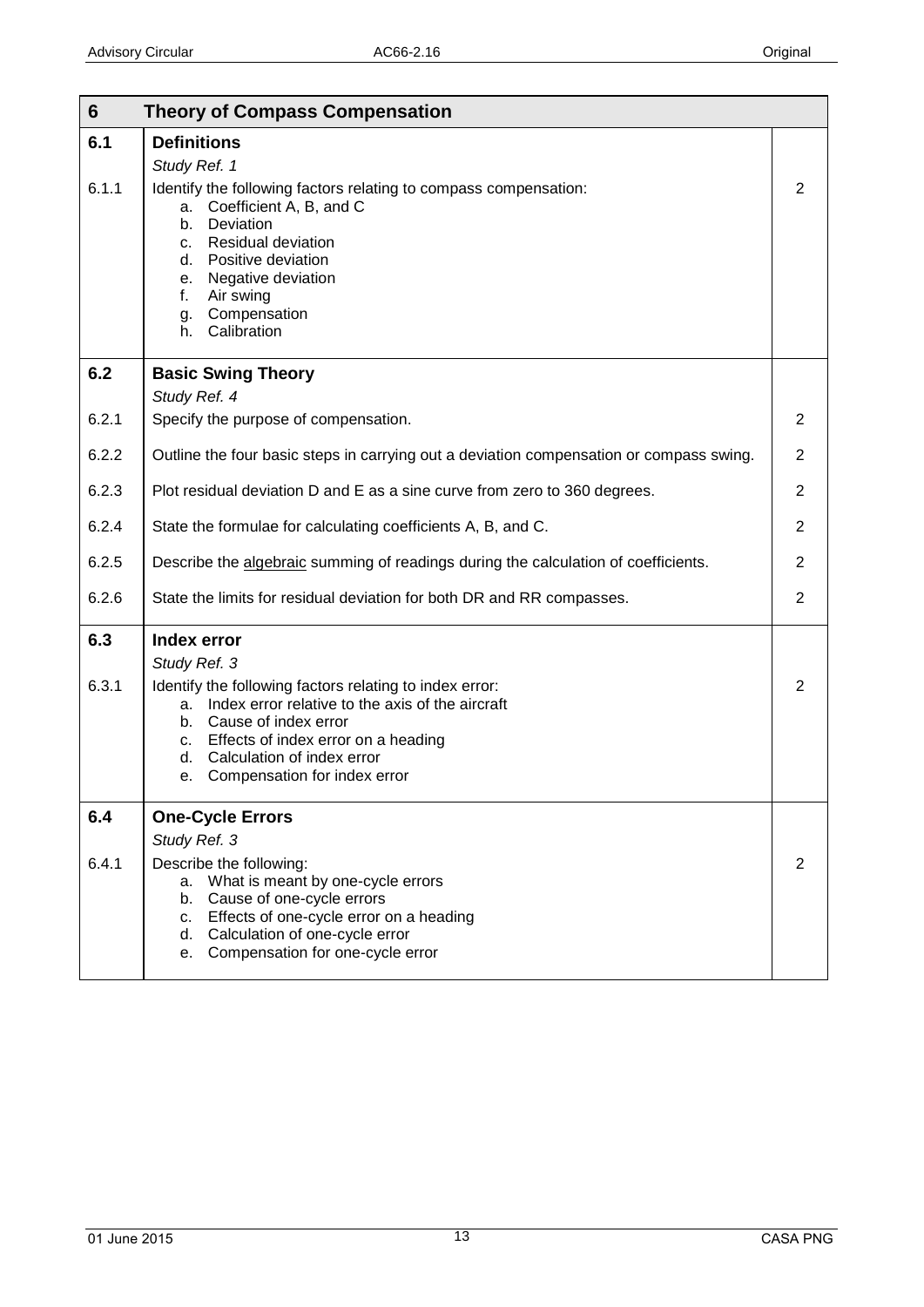<span id="page-12-4"></span><span id="page-12-3"></span><span id="page-12-2"></span><span id="page-12-1"></span><span id="page-12-0"></span>

| $6\phantom{1}$ | <b>Theory of Compass Compensation</b>                                                                                                                                                                                                                                                              |                |
|----------------|----------------------------------------------------------------------------------------------------------------------------------------------------------------------------------------------------------------------------------------------------------------------------------------------------|----------------|
| 6.1            | <b>Definitions</b>                                                                                                                                                                                                                                                                                 |                |
| 6.1.1          | Study Ref. 1<br>Identify the following factors relating to compass compensation:<br>Coefficient A, B, and C<br>а.<br>Deviation<br>b.<br><b>Residual deviation</b><br>c.<br>Positive deviation<br>d.<br>Negative deviation<br>е.<br>f.<br>Air swing<br>Compensation<br>g.<br>Calibration<br>h.      | 2              |
| 6.2            | <b>Basic Swing Theory</b><br>Study Ref. 4                                                                                                                                                                                                                                                          |                |
| 6.2.1          | Specify the purpose of compensation.                                                                                                                                                                                                                                                               | $\overline{2}$ |
| 6.2.2          | Outline the four basic steps in carrying out a deviation compensation or compass swing.                                                                                                                                                                                                            | $\overline{2}$ |
| 6.2.3          | Plot residual deviation D and E as a sine curve from zero to 360 degrees.                                                                                                                                                                                                                          | $\overline{2}$ |
| 6.2.4          | State the formulae for calculating coefficients A, B, and C.                                                                                                                                                                                                                                       | $\overline{2}$ |
| 6.2.5          | Describe the algebraic summing of readings during the calculation of coefficients.                                                                                                                                                                                                                 | $\overline{2}$ |
| 6.2.6          | State the limits for residual deviation for both DR and RR compasses.                                                                                                                                                                                                                              | $\overline{2}$ |
| 6.3<br>6.3.1   | Index error<br>Study Ref. 3<br>Identify the following factors relating to index error:<br>Index error relative to the axis of the aircraft<br>a.<br>b. Cause of index error<br>Effects of index error on a heading<br>c.<br>Calculation of index error<br>d.<br>Compensation for index error<br>е. | 2              |
| 6.4<br>6.4.1   | <b>One-Cycle Errors</b><br>Study Ref. 3<br>Describe the following:                                                                                                                                                                                                                                 | 2              |
|                | What is meant by one-cycle errors<br>а.<br>Cause of one-cycle errors<br>b.<br>Effects of one-cycle error on a heading<br>c.<br>Calculation of one-cycle error<br>d.<br>Compensation for one-cycle error<br>е.                                                                                      |                |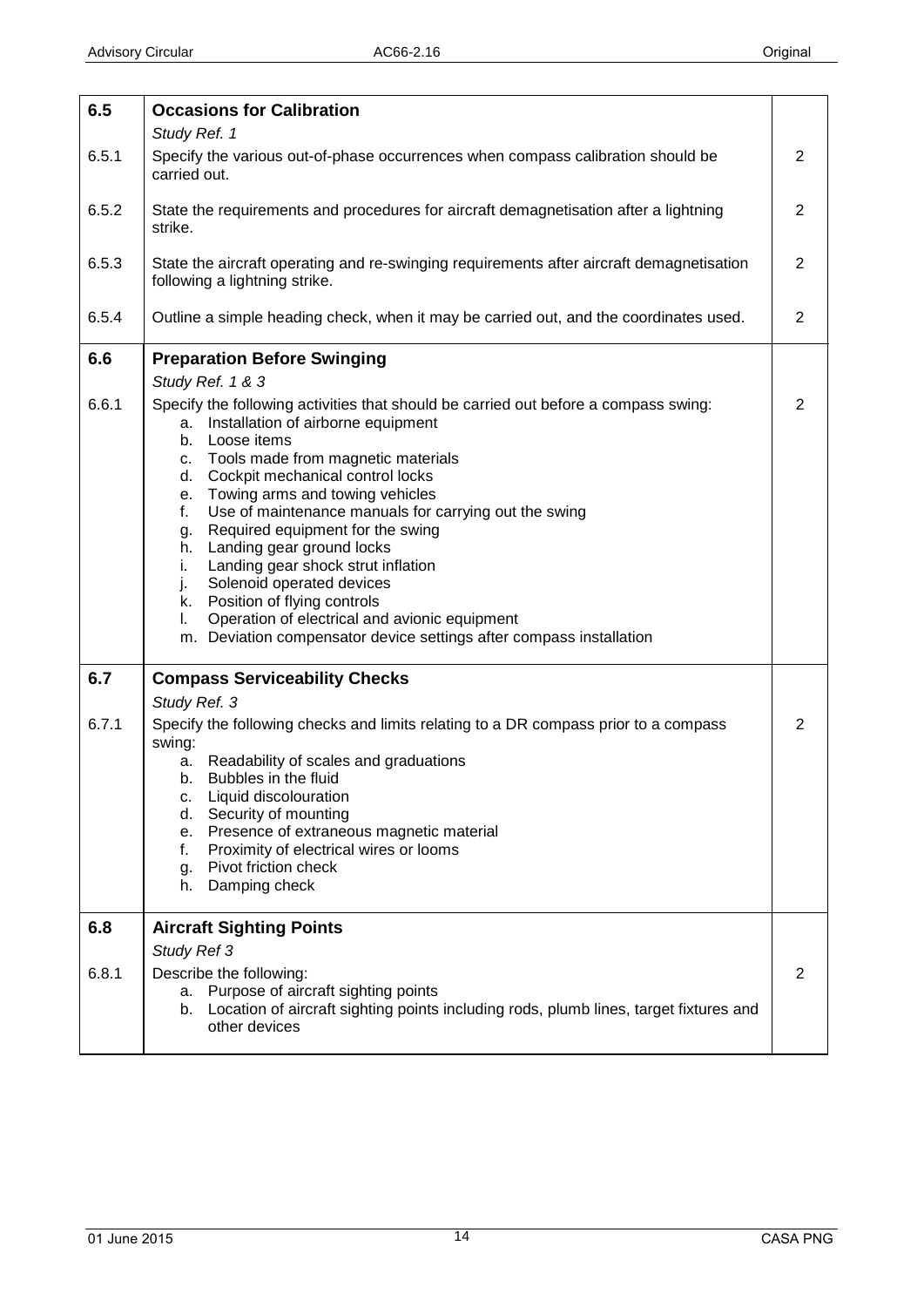<span id="page-13-3"></span><span id="page-13-2"></span><span id="page-13-1"></span><span id="page-13-0"></span>

| 6.5   | <b>Occasions for Calibration</b>                                                                                                                                                                                                                                                                                                                                                                                                                                                                                                                                                                                                                                         |                |
|-------|--------------------------------------------------------------------------------------------------------------------------------------------------------------------------------------------------------------------------------------------------------------------------------------------------------------------------------------------------------------------------------------------------------------------------------------------------------------------------------------------------------------------------------------------------------------------------------------------------------------------------------------------------------------------------|----------------|
|       | Study Ref. 1                                                                                                                                                                                                                                                                                                                                                                                                                                                                                                                                                                                                                                                             |                |
| 6.5.1 | Specify the various out-of-phase occurrences when compass calibration should be<br>carried out.                                                                                                                                                                                                                                                                                                                                                                                                                                                                                                                                                                          | $\overline{2}$ |
| 6.5.2 | State the requirements and procedures for aircraft demagnetisation after a lightning<br>strike.                                                                                                                                                                                                                                                                                                                                                                                                                                                                                                                                                                          | $\overline{2}$ |
| 6.5.3 | State the aircraft operating and re-swinging requirements after aircraft demagnetisation<br>following a lightning strike.                                                                                                                                                                                                                                                                                                                                                                                                                                                                                                                                                | $\overline{2}$ |
| 6.5.4 | Outline a simple heading check, when it may be carried out, and the coordinates used.                                                                                                                                                                                                                                                                                                                                                                                                                                                                                                                                                                                    | $\overline{2}$ |
| 6.6   | <b>Preparation Before Swinging</b><br>Study Ref. 1 & 3                                                                                                                                                                                                                                                                                                                                                                                                                                                                                                                                                                                                                   |                |
| 6.6.1 | Specify the following activities that should be carried out before a compass swing:<br>Installation of airborne equipment<br>а.<br>Loose items<br>b.<br>Tools made from magnetic materials<br>C.<br>d. Cockpit mechanical control locks<br>Towing arms and towing vehicles<br>e.<br>Use of maintenance manuals for carrying out the swing<br>f.<br>Required equipment for the swing<br>g.<br>h. Landing gear ground locks<br>i.<br>Landing gear shock strut inflation<br>Solenoid operated devices<br>j.<br>k. Position of flying controls<br>Operation of electrical and avionic equipment<br>I.<br>m. Deviation compensator device settings after compass installation | $\overline{2}$ |
| 6.7   | <b>Compass Serviceability Checks</b><br>Study Ref. 3                                                                                                                                                                                                                                                                                                                                                                                                                                                                                                                                                                                                                     |                |
| 6.7.1 | Specify the following checks and limits relating to a DR compass prior to a compass<br>swing:<br>Readability of scales and graduations<br>а.<br>Bubbles in the fluid<br>b.<br>Liquid discolouration<br>c.<br>Security of mounting<br>d.<br>Presence of extraneous magnetic material<br>е.<br>Proximity of electrical wires or looms<br>f.<br>Pivot friction check<br>g.<br>Damping check<br>h.                                                                                                                                                                                                                                                                           | $\overline{2}$ |
| 6.8   | <b>Aircraft Sighting Points</b>                                                                                                                                                                                                                                                                                                                                                                                                                                                                                                                                                                                                                                          |                |
| 6.8.1 | Study Ref 3<br>Describe the following:<br>a. Purpose of aircraft sighting points<br>Location of aircraft sighting points including rods, plumb lines, target fixtures and<br>b.<br>other devices                                                                                                                                                                                                                                                                                                                                                                                                                                                                         | $\overline{2}$ |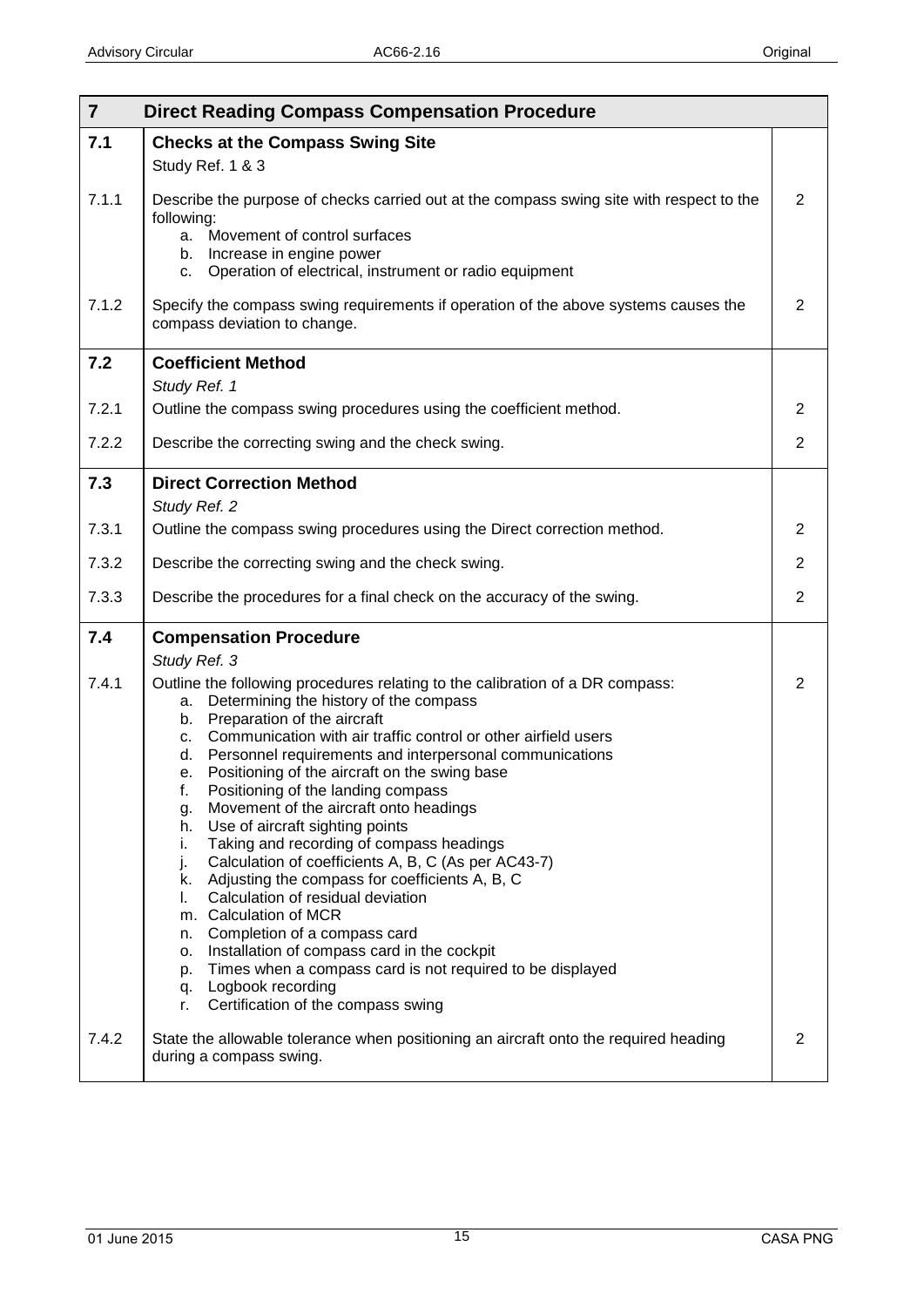<span id="page-14-4"></span><span id="page-14-3"></span><span id="page-14-2"></span><span id="page-14-1"></span><span id="page-14-0"></span>

| $\overline{7}$ | <b>Direct Reading Compass Compensation Procedure</b>                                                                                                                                                                                                                                                                                                                                                                                                                                                                                                                                                                                                                                                                                                                                                                                                                                                                                                                                                |                |
|----------------|-----------------------------------------------------------------------------------------------------------------------------------------------------------------------------------------------------------------------------------------------------------------------------------------------------------------------------------------------------------------------------------------------------------------------------------------------------------------------------------------------------------------------------------------------------------------------------------------------------------------------------------------------------------------------------------------------------------------------------------------------------------------------------------------------------------------------------------------------------------------------------------------------------------------------------------------------------------------------------------------------------|----------------|
| 7.1            | <b>Checks at the Compass Swing Site</b><br>Study Ref. 1 & 3                                                                                                                                                                                                                                                                                                                                                                                                                                                                                                                                                                                                                                                                                                                                                                                                                                                                                                                                         |                |
| 7.1.1          | Describe the purpose of checks carried out at the compass swing site with respect to the<br>following:<br>a. Movement of control surfaces<br>b. Increase in engine power<br>Operation of electrical, instrument or radio equipment<br>C.                                                                                                                                                                                                                                                                                                                                                                                                                                                                                                                                                                                                                                                                                                                                                            | $\overline{2}$ |
| 7.1.2          | Specify the compass swing requirements if operation of the above systems causes the<br>compass deviation to change.                                                                                                                                                                                                                                                                                                                                                                                                                                                                                                                                                                                                                                                                                                                                                                                                                                                                                 | $\overline{2}$ |
| 7.2            | <b>Coefficient Method</b><br>Study Ref. 1                                                                                                                                                                                                                                                                                                                                                                                                                                                                                                                                                                                                                                                                                                                                                                                                                                                                                                                                                           |                |
| 7.2.1          | Outline the compass swing procedures using the coefficient method.                                                                                                                                                                                                                                                                                                                                                                                                                                                                                                                                                                                                                                                                                                                                                                                                                                                                                                                                  | 2              |
| 7.2.2          | Describe the correcting swing and the check swing.                                                                                                                                                                                                                                                                                                                                                                                                                                                                                                                                                                                                                                                                                                                                                                                                                                                                                                                                                  | $\overline{2}$ |
| 7.3            | <b>Direct Correction Method</b><br>Study Ref. 2                                                                                                                                                                                                                                                                                                                                                                                                                                                                                                                                                                                                                                                                                                                                                                                                                                                                                                                                                     |                |
| 7.3.1          | Outline the compass swing procedures using the Direct correction method.                                                                                                                                                                                                                                                                                                                                                                                                                                                                                                                                                                                                                                                                                                                                                                                                                                                                                                                            | $\overline{2}$ |
| 7.3.2          | Describe the correcting swing and the check swing.                                                                                                                                                                                                                                                                                                                                                                                                                                                                                                                                                                                                                                                                                                                                                                                                                                                                                                                                                  | $\overline{2}$ |
| 7.3.3          | Describe the procedures for a final check on the accuracy of the swing.                                                                                                                                                                                                                                                                                                                                                                                                                                                                                                                                                                                                                                                                                                                                                                                                                                                                                                                             | $\overline{2}$ |
| 7.4            | <b>Compensation Procedure</b>                                                                                                                                                                                                                                                                                                                                                                                                                                                                                                                                                                                                                                                                                                                                                                                                                                                                                                                                                                       |                |
| 7.4.1          | Study Ref. 3<br>Outline the following procedures relating to the calibration of a DR compass:<br>Determining the history of the compass<br>а.<br>Preparation of the aircraft<br>b.<br>Communication with air traffic control or other airfield users<br>c.<br>Personnel requirements and interpersonal communications<br>d. I<br>Positioning of the aircraft on the swing base<br>е.<br>Positioning of the landing compass<br>t.<br>Movement of the aircraft onto headings<br>g.<br>Use of aircraft sighting points<br>h.<br>Taking and recording of compass headings<br>i.<br>Calculation of coefficients A, B, C (As per AC43-7)<br>j.<br>k. Adjusting the compass for coefficients A, B, C<br>Calculation of residual deviation<br>I.<br>m. Calculation of MCR<br>Completion of a compass card<br>n.<br>Installation of compass card in the cockpit<br>о.<br>Times when a compass card is not required to be displayed<br>p.<br>q. Logbook recording<br>Certification of the compass swing<br>r. | $\overline{2}$ |
| 7.4.2          | State the allowable tolerance when positioning an aircraft onto the required heading<br>during a compass swing.                                                                                                                                                                                                                                                                                                                                                                                                                                                                                                                                                                                                                                                                                                                                                                                                                                                                                     | $\overline{2}$ |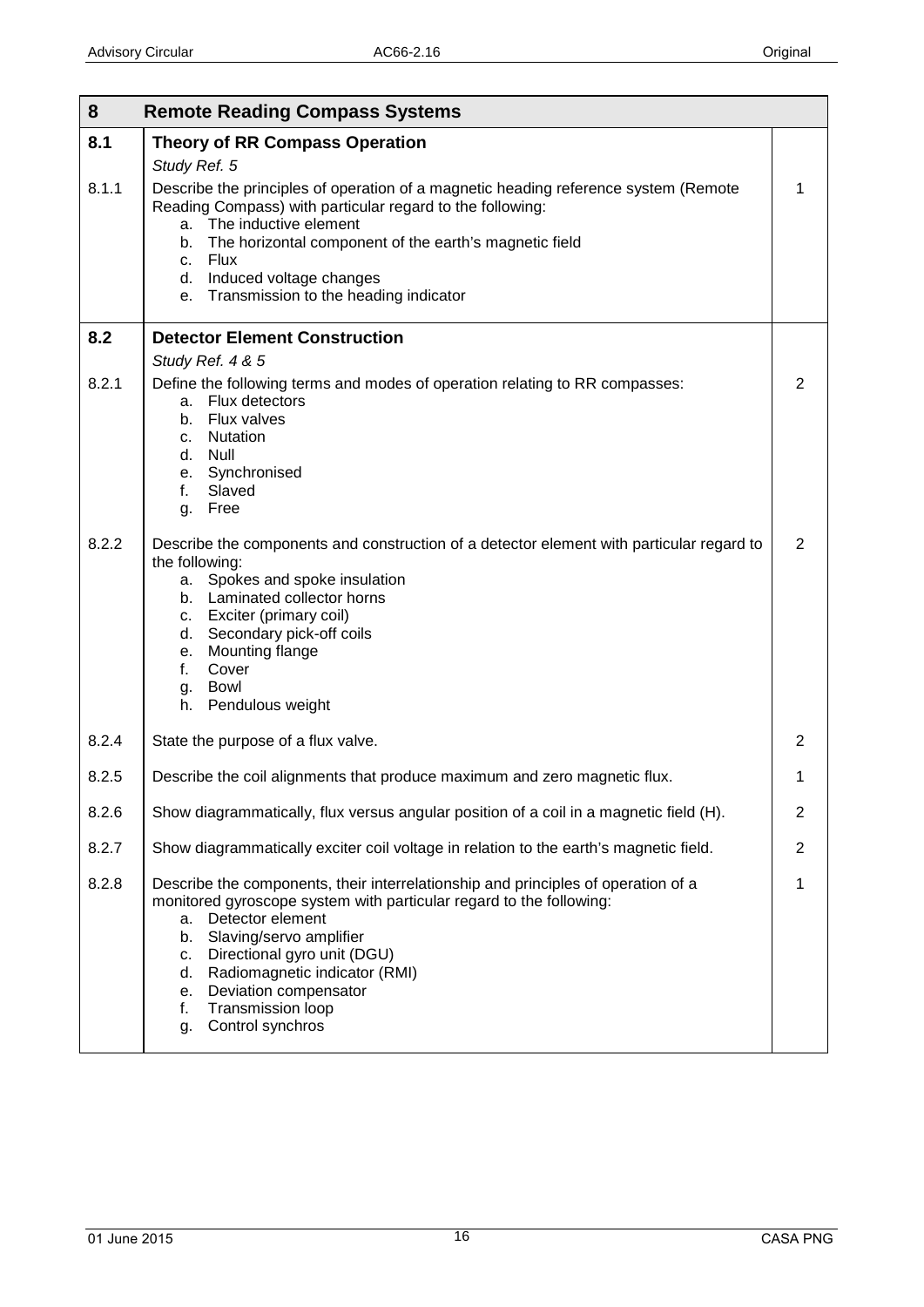<span id="page-15-2"></span><span id="page-15-1"></span><span id="page-15-0"></span>

| 8<br><b>Remote Reading Compass Systems</b> |                                                                                                                                                                                                                                                                                                                                                                                     |                |  |
|--------------------------------------------|-------------------------------------------------------------------------------------------------------------------------------------------------------------------------------------------------------------------------------------------------------------------------------------------------------------------------------------------------------------------------------------|----------------|--|
| 8.1                                        | <b>Theory of RR Compass Operation</b><br>Study Ref. 5                                                                                                                                                                                                                                                                                                                               |                |  |
| 8.1.1                                      | Describe the principles of operation of a magnetic heading reference system (Remote<br>Reading Compass) with particular regard to the following:<br>The inductive element<br>a.<br>The horizontal component of the earth's magnetic field<br>b.<br>Flux<br>C.<br>d. Induced voltage changes<br>Transmission to the heading indicator<br>e.                                          | 1              |  |
| 8.2                                        | <b>Detector Element Construction</b>                                                                                                                                                                                                                                                                                                                                                |                |  |
|                                            | Study Ref. 4 & 5                                                                                                                                                                                                                                                                                                                                                                    |                |  |
| 8.2.1                                      | Define the following terms and modes of operation relating to RR compasses:<br>Flux detectors<br>a.<br><b>Flux valves</b><br>b.<br>Nutation<br>C.<br>d. Null<br>e. Synchronised<br>Slaved<br>f.<br>Free<br>g.                                                                                                                                                                       | $\overline{2}$ |  |
| 8.2.2                                      | Describe the components and construction of a detector element with particular regard to<br>the following:<br>Spokes and spoke insulation<br>a.<br>b. Laminated collector horns<br>c. Exciter (primary coil)<br>Secondary pick-off coils<br>d.<br>Mounting flange<br>е.<br>Cover<br>f.<br>Bowl<br>g.<br>Pendulous weight<br>h.                                                      | $\overline{2}$ |  |
| 8.2.4                                      | State the purpose of a flux valve.                                                                                                                                                                                                                                                                                                                                                  | 2              |  |
| 8.2.5                                      | Describe the coil alignments that produce maximum and zero magnetic flux.                                                                                                                                                                                                                                                                                                           | 1              |  |
| 8.2.6                                      | Show diagrammatically, flux versus angular position of a coil in a magnetic field (H).                                                                                                                                                                                                                                                                                              | $\overline{2}$ |  |
| 8.2.7                                      | Show diagrammatically exciter coil voltage in relation to the earth's magnetic field.                                                                                                                                                                                                                                                                                               | $\overline{2}$ |  |
| 8.2.8                                      | Describe the components, their interrelationship and principles of operation of a<br>monitored gyroscope system with particular regard to the following:<br>Detector element<br>a.<br>Slaving/servo amplifier<br>b.<br>Directional gyro unit (DGU)<br>c.<br>Radiomagnetic indicator (RMI)<br>d.<br>Deviation compensator<br>e.<br>Transmission loop<br>f.<br>Control synchros<br>g. | $\mathbf{1}$   |  |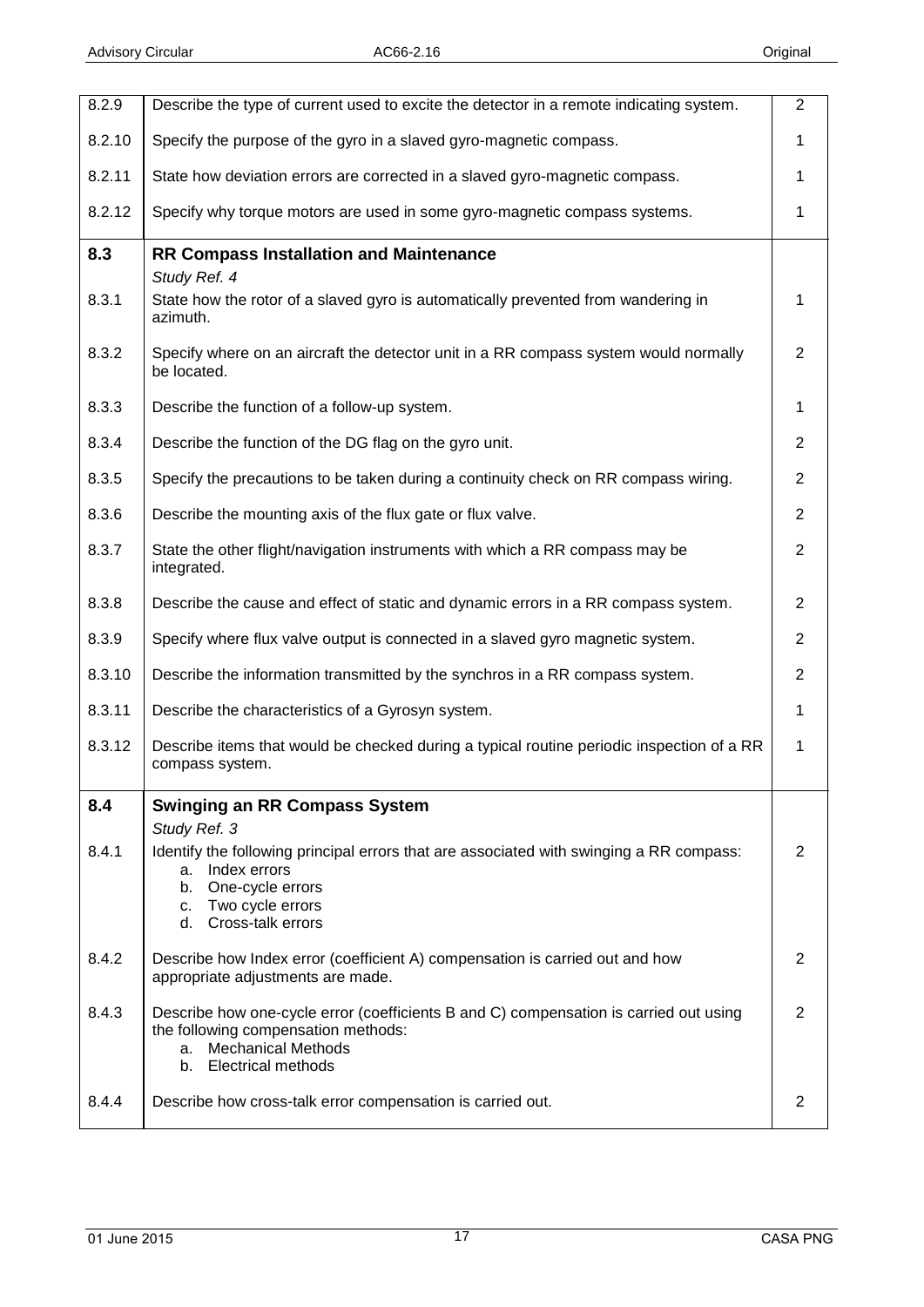<span id="page-16-1"></span><span id="page-16-0"></span>

| 8.2.9  | Describe the type of current used to excite the detector in a remote indicating system.                                                                                                                | $\overline{2}$ |
|--------|--------------------------------------------------------------------------------------------------------------------------------------------------------------------------------------------------------|----------------|
|        |                                                                                                                                                                                                        |                |
| 8.2.10 | Specify the purpose of the gyro in a slaved gyro-magnetic compass.                                                                                                                                     | 1              |
| 8.2.11 | State how deviation errors are corrected in a slaved gyro-magnetic compass.                                                                                                                            | 1              |
| 8.2.12 | Specify why torque motors are used in some gyro-magnetic compass systems.                                                                                                                              | 1              |
| 8.3    | <b>RR Compass Installation and Maintenance</b><br>Study Ref. 4                                                                                                                                         |                |
| 8.3.1  | State how the rotor of a slaved gyro is automatically prevented from wandering in<br>azimuth.                                                                                                          | 1              |
| 8.3.2  | Specify where on an aircraft the detector unit in a RR compass system would normally<br>be located.                                                                                                    | $\overline{2}$ |
| 8.3.3  | Describe the function of a follow-up system.                                                                                                                                                           | 1              |
| 8.3.4  | Describe the function of the DG flag on the gyro unit.                                                                                                                                                 | $\overline{2}$ |
| 8.3.5  | Specify the precautions to be taken during a continuity check on RR compass wiring.                                                                                                                    | $\overline{2}$ |
| 8.3.6  | Describe the mounting axis of the flux gate or flux valve.                                                                                                                                             | $\overline{2}$ |
| 8.3.7  | State the other flight/navigation instruments with which a RR compass may be<br>integrated.                                                                                                            | $\overline{2}$ |
| 8.3.8  | Describe the cause and effect of static and dynamic errors in a RR compass system.                                                                                                                     | $\overline{2}$ |
| 8.3.9  | Specify where flux valve output is connected in a slaved gyro magnetic system.                                                                                                                         | $\overline{2}$ |
| 8.3.10 | Describe the information transmitted by the synchros in a RR compass system.                                                                                                                           | $\overline{2}$ |
| 8.3.11 | Describe the characteristics of a Gyrosyn system.                                                                                                                                                      | 1              |
| 8.3.12 | Describe items that would be checked during a typical routine periodic inspection of a RR<br>compass system.                                                                                           | $\mathbf{1}$   |
| 8.4    | <b>Swinging an RR Compass System</b>                                                                                                                                                                   |                |
| 8.4.1  | Study Ref. 3<br>Identify the following principal errors that are associated with swinging a RR compass:<br>Index errors<br>a.<br>One-cycle errors<br>b.<br>c. Two cycle errors<br>d. Cross-talk errors | 2              |
| 8.4.2  | Describe how Index error (coefficient A) compensation is carried out and how<br>appropriate adjustments are made.                                                                                      | 2              |
| 8.4.3  | Describe how one-cycle error (coefficients B and C) compensation is carried out using<br>the following compensation methods:<br><b>Mechanical Methods</b><br>a.<br>b. Electrical methods               | 2              |
| 8.4.4  | Describe how cross-talk error compensation is carried out.                                                                                                                                             | 2              |